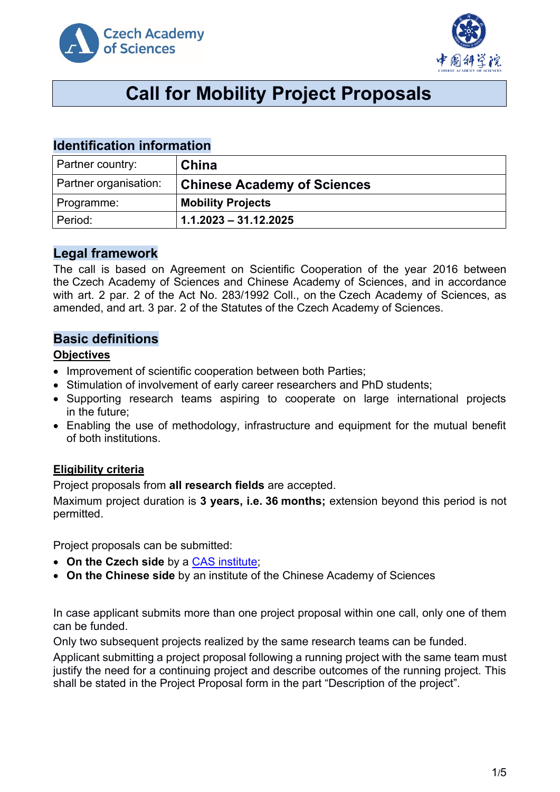



# **Call for Mobility Project Proposals**

# **Identification information**

| Partner country:      | China                              |
|-----------------------|------------------------------------|
| Partner organisation: | <b>Chinese Academy of Sciences</b> |
| Programme:            | <b>Mobility Projects</b>           |
| Period:               | $1.1.2023 - 31.12.2025$            |

# **Legal framework**

The call is based on Agreement on Scientific Cooperation of the year 2016 between the Czech Academy of Sciences and Chinese Academy of Sciences, and in accordance with art. 2 par. 2 of the Act No. 283/1992 Coll., on the Czech Academy of Sciences, as amended, and art. 3 par. 2 of the Statutes of the Czech Academy of Sciences.

# **Basic definitions**

### **Objectives**

- Improvement of scientific cooperation between both Parties;
- Stimulation of involvement of early career researchers and PhD students;
- Supporting research teams aspiring to cooperate on large international projects in the future;
- Enabling the use of methodology, infrastructure and equipment for the mutual benefit of both institutions.

# **Eligibility criteria**

Project proposals from **all research fields** are accepted.

Maximum project duration is **3 years, i.e. 36 months;** extension beyond this period is not permitted.

Project proposals can be submitted:

- **On the Czech side** by a [CAS institute;](http://www.avcr.cz/en/about-us/cas-structure/research-institutes/)
- **On the Chinese side** by an institute of the Chinese Academy of Sciences

In case applicant submits more than one project proposal within one call, only one of them can be funded.

Only two subsequent projects realized by the same research teams can be funded.

Applicant submitting a project proposal following a running project with the same team must justify the need for a continuing project and describe outcomes of the running project. This shall be stated in the Project Proposal form in the part "Description of the project".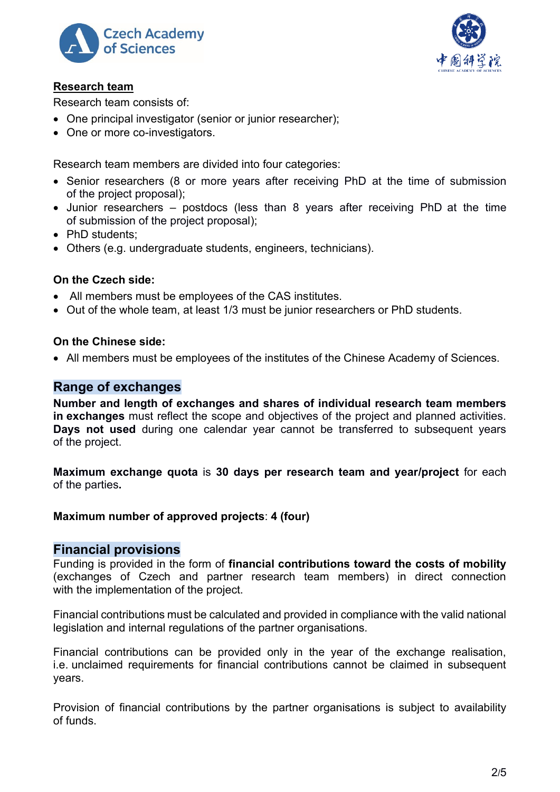



### **Research team**

Research team consists of:

- One principal investigator (senior or junior researcher):
- One or more co-investigators.

Research team members are divided into four categories:

- Senior researchers (8 or more years after receiving PhD at the time of submission of the project proposal);
- Junior researchers postdocs (less than 8 years after receiving PhD at the time of submission of the project proposal);
- PhD students:
- Others (e.g. undergraduate students, engineers, technicians).

# **On the Czech side:**

- All members must be employees of the CAS institutes.
- Out of the whole team, at least 1/3 must be junior researchers or PhD students.

# **On the Chinese side:**

• All members must be employees of the institutes of the Chinese Academy of Sciences.

# **Range of exchanges**

**Number and length of exchanges and shares of individual research team members in exchanges** must reflect the scope and objectives of the project and planned activities. **Days not used** during one calendar year cannot be transferred to subsequent years of the project.

**Maximum exchange quota** is **30 days per research team and year/project** for each of the parties**.**

# **Maximum number of approved projects**: **4 (four)**

# **Financial provisions**

Funding is provided in the form of **financial contributions toward the costs of mobility** (exchanges of Czech and partner research team members) in direct connection with the implementation of the project.

Financial contributions must be calculated and provided in compliance with the valid national legislation and internal regulations of the partner organisations.

Financial contributions can be provided only in the year of the exchange realisation, i.e. unclaimed requirements for financial contributions cannot be claimed in subsequent years.

Provision of financial contributions by the partner organisations is subject to availability of funds.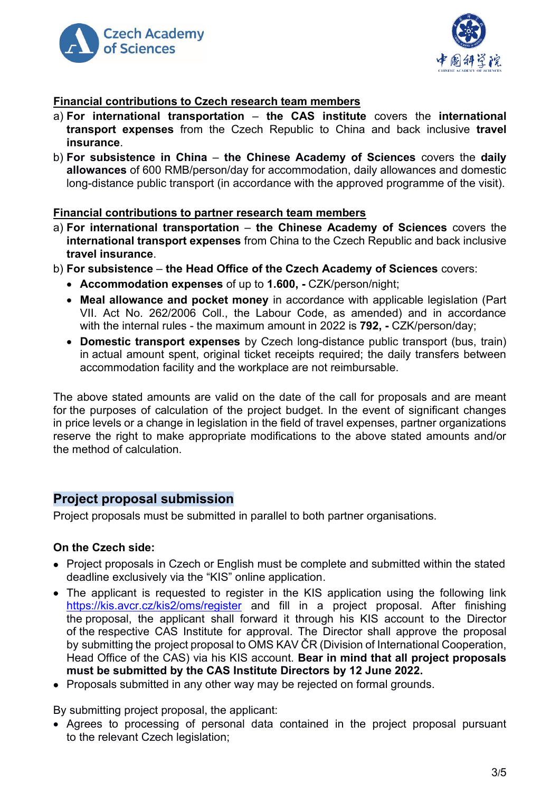



### **Financial contributions to Czech research team members**

- a) **For international transportation the CAS institute** covers the **international transport expenses** from the Czech Republic to China and back inclusive **travel insurance**.
- b) **For subsistence in China the Chinese Academy of Sciences** covers the **daily allowances** of 600 RMB/person/day for accommodation, daily allowances and domestic long-distance public transport (in accordance with the approved programme of the visit).

#### **Financial contributions to partner research team members**

- a) **For international transportation the Chinese Academy of Sciences** covers the **international transport expenses** from China to the Czech Republic and back inclusive **travel insurance**.
- b) **For subsistence the Head Office of the Czech Academy of Sciences** covers:
	- **Accommodation expenses** of up to **1.600, -** CZK/person/night;
	- **Meal allowance and pocket money** in accordance with applicable legislation (Part VII. Act No. 262/2006 Coll., the Labour Code, as amended) and in accordance with the internal rules - the maximum amount in 2022 is **792, -** CZK/person/day;
	- **Domestic transport expenses** by Czech long-distance public transport (bus, train) in actual amount spent, original ticket receipts required; the daily transfers between accommodation facility and the workplace are not reimbursable.

The above stated amounts are valid on the date of the call for proposals and are meant for the purposes of calculation of the project budget. In the event of significant changes in price levels or a change in legislation in the field of travel expenses, partner organizations reserve the right to make appropriate modifications to the above stated amounts and/or the method of calculation.

# **Project proposal submission**

Project proposals must be submitted in parallel to both partner organisations.

#### **On the Czech side:**

- Project proposals in Czech or English must be complete and submitted within the stated deadline exclusively via the "KIS" online application.
- The applicant is requested to register in the KIS application using the following link <https://kis.avcr.cz/kis2/oms/register> and fill in a project proposal. After finishing the proposal, the applicant shall forward it through his KIS account to the Director of the respective CAS Institute for approval. The Director shall approve the proposal by submitting the project proposal to OMS KAV ČR (Division of International Cooperation, Head Office of the CAS) via his KIS account. **Bear in mind that all project proposals must be submitted by the CAS Institute Directors by 12 June 2022.**
- Proposals submitted in any other way may be rejected on formal grounds.

By submitting project proposal, the applicant:

• Agrees to processing of personal data contained in the project proposal pursuant to the relevant Czech legislation;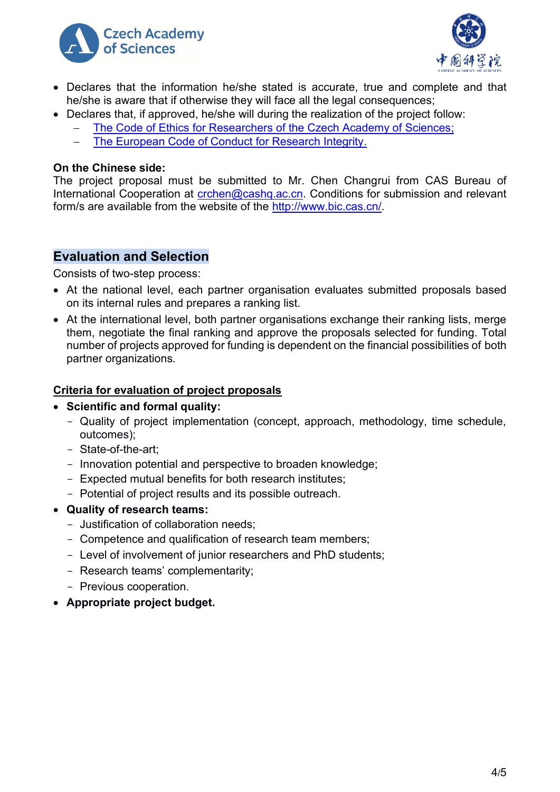



- Declares that the information he/she stated is accurate, true and complete and that he/she is aware that if otherwise they will face all the legal consequences;
- Declares that, if approved, he/she will during the realization of the project follow:
	- The Code of Ethics for Researchers of [the Czech Academy of Sciences;](https://www.avcr.cz/en/about-us/legal-regulations/code-of-ethics-for-researchers-of-the-czech-academy-of-sciences/)
	- − [The European Code of Conduct for Research Integrity.](http://www.allea.org/wp-content/uploads/2017/05/ALLEA-European-Code-of-Conduct-for-Research-Integrity-2017.pdf)

#### **On the Chinese side:**

The project proposal must be submitted to Mr. Chen Changrui from CAS Bureau of International Cooperation at [crchen@cashq.ac.cn.](mailto:crchen@cashq.ac.cn) Conditions for submission and relevant form/s are available from the website of the [http://www.bic.cas.cn/.](http://www.bic.cas.cn/)

# **Evaluation and Selection**

Consists of two-step process:

- At the national level, each partner organisation evaluates submitted proposals based on its internal rules and prepares a ranking list.
- At the international level, both partner organisations exchange their ranking lists, merge them, negotiate the final ranking and approve the proposals selected for funding. Total number of projects approved for funding is dependent on the financial possibilities of both partner organizations.

#### **Criteria for evaluation of project proposals**

- **Scientific and formal quality:**
	- Quality of project implementation (concept, approach, methodology, time schedule, outcomes);
	- State-of-the-art;
	- Innovation potential and perspective to broaden knowledge;
	- Expected mutual benefits for both research institutes;
	- Potential of project results and its possible outreach.

#### • **Quality of research teams:**

- Justification of collaboration needs;
- Competence and qualification of research team members;
- Level of involvement of junior researchers and PhD students;
- Research teams' complementarity;
- Previous cooperation.
- **Appropriate project budget.**